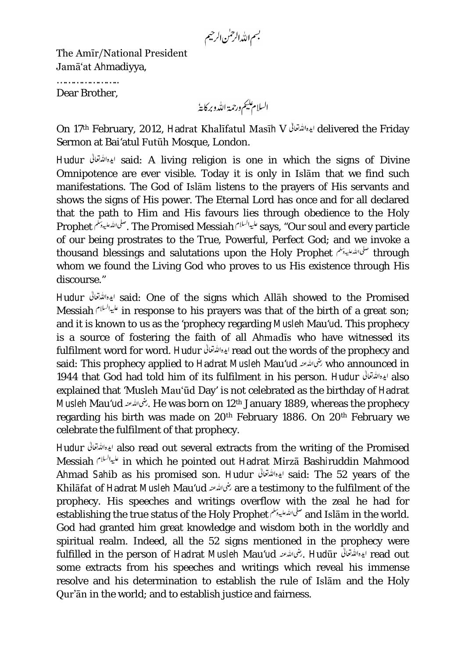بسم الله الرحمٰن الرحيم

The Amīr/National President Jamā'at Ahmadiyya,

……………………… Dear Brother,

السلام يليم ورحمة الله وبركايةُ

On 17th February, 2012, Hadrat Khalīfatul Masīh V ايده الله تقالى delivered the Fridav Sermon at Bai'atul Futūh Mosque, London.

Hudur said: A living religion is one in which the signs of Divine Omnipotence are ever visible. Today it is only in Islām that we find such manifestations. The God of Islām listens to the prayers of His servants and shows the signs of His power. The Eternal Lord has once and for all declared that the path to Him and His favours lies through obedience to the Holy Prophet . The Promised Messiah says, "Our soul and every particle of our being prostrates to the True, Powerful, Perfect God; and we invoke a thousand blessings and salutations upon the Holy Prophet <sup>صلى الله على الله على الله على الله على الله على الل</sup>ه whom we found the Living God who proves to us His existence through His discourse."

Hudur said: One of the signs which Allāh showed to the Promised Messiah  $i^{\mu\nu}$ in response to his prayers was that of the birth of a great son; and it is known to us as the 'prophecy regarding Musleh Mau'ud. This prophecy is a source of fostering the faith of all Ahmadīs who have witnessed its fulfilment word for word. Hudur read out the words of the prophecy and said: This prophecy applied to Hadrat Musleh Mau'ud خُمَاللهُ who announced in 1944 that God had told him of its fulfilment in his person. Hudur ايده الله قال 1944 explained that 'Musleh Mau'ūd Day' is not celebrated as the birthday of Hadrat Musleh Mau'ud . بغى الله عنه He was born on 12<sup>th</sup> January 1889, whereas the prophecy regarding his birth was made on 20<sup>th</sup> February 1886. On 20<sup>th</sup> February we celebrate the fulfilment of that prophecy.

Hudur also read out several extracts from the writing of the Promised Messiah in which he pointed out Hadrat Mirzā Bashiruddin Mahmood Ahmad Sahib as his promised son. Hudur ایده الله تعالی استفالی said: The 52 years of the Khilāfat of Hadrat Musleh Mau'ud are a testimony to the fulfilment of the prophecy. His speeches and writings overflow with the zeal he had for establishing the true status of the Holy Prophet صلى الله عليه بملم and Islām in the world. God had granted him great knowledge and wisdom both in the worldly and spiritual realm. Indeed, all the 52 signs mentioned in the prophecy were fulfilled in the person of Hadrat Musleh Mau'ud . يغما لله عنه السلام الكار read out some extracts from his speeches and writings which reveal his immense resolve and his determination to establish the rule of Islām and the Holy Qur'ān in the world; and to establish justice and fairness.